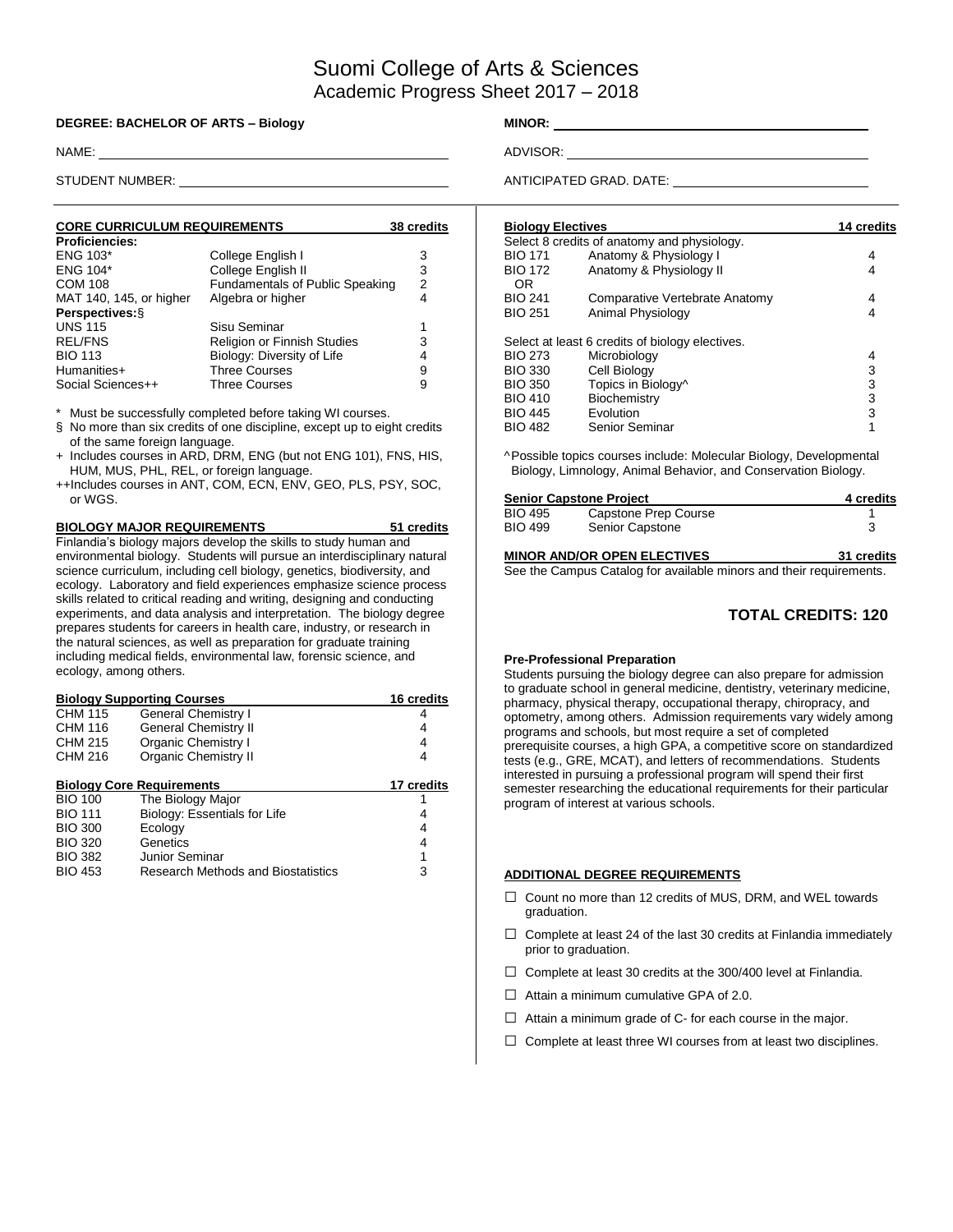# Suomi College of Arts & Sciences Academic Progress Sheet 2017 – 2018

#### **DEGREE: BACHELOR OF ARTS – Biology MINOR:**

| <b>CORE CURRICULUM REQUIREMENTS</b> | 38 credits                             |   |
|-------------------------------------|----------------------------------------|---|
| <b>Proficiencies:</b>               |                                        |   |
| <b>ENG 103*</b>                     | College English I                      | 3 |
| <b>ENG 104*</b>                     | College English II                     | 3 |
| <b>COM 108</b>                      | <b>Fundamentals of Public Speaking</b> | 2 |
| MAT 140, 145, or higher             | Algebra or higher                      | 4 |
| Perspectives: §                     |                                        |   |
| <b>UNS 115</b>                      | Sisu Seminar                           | 1 |
| <b>REL/FNS</b>                      | Religion or Finnish Studies            | 3 |
| <b>BIO 113</b>                      | Biology: Diversity of Life             | 4 |
| Humanities+                         | <b>Three Courses</b>                   | 9 |
| Social Sciences++                   | <b>Three Courses</b>                   | 9 |

Must be successfully completed before taking WI courses.

§ No more than six credits of one discipline, except up to eight credits of the same foreign language.

- + Includes courses in ARD, DRM, ENG (but not ENG 101), FNS, HIS, HUM, MUS, PHL, REL, or foreign language.
- ++Includes courses in ANT, COM, ECN, ENV, GEO, PLS, PSY, SOC, or WGS.

| <b>BIOLOGY MAJOR REQUIREMENTS</b>                                        | 51 credits |
|--------------------------------------------------------------------------|------------|
| Finlandia's biology majors develop the skills to study human and         |            |
| environmental biology. Students will pursue an interdisciplinary natural |            |
| science curriculum, including cell biology, genetics, biodiversity, and  |            |
| ecology. Laboratory and field experiences emphasize science process      |            |
| skills related to critical reading and writing, designing and conducting |            |
| experiments, and data analysis and interpretation. The biology degree    |            |
| prepares students for careers in health care, industry, or research in   |            |
| the natural sciences, as well as preparation for graduate training       |            |
| including medical fields, environmental law, forensic science, and       |            |
| ecology, among others.                                                   |            |

| <b>Biology Supporting Courses</b> | 16 credits                                |            |
|-----------------------------------|-------------------------------------------|------------|
| <b>CHM 115</b>                    | General Chemistry I                       | 4          |
| <b>CHM 116</b>                    | <b>General Chemistry II</b>               | 4          |
| CHM 215                           | Organic Chemistry I                       | 4          |
| CHM 216                           | <b>Organic Chemistry II</b>               | 4          |
|                                   | <b>Biology Core Requirements</b>          | 17 credits |
| <b>BIO 100</b>                    | The Biology Major                         |            |
| <b>BIO 111</b>                    | Biology: Essentials for Life              | 4          |
| <b>BIO 300</b>                    | Ecology                                   | 4          |
| <b>BIO 320</b>                    | Genetics                                  | 4          |
| <b>BIO 382</b>                    | Junior Seminar                            | 1          |
| <b>BIO 453</b>                    | <b>Research Methods and Biostatistics</b> | 3          |
|                                   |                                           |            |

NAME: ADVISOR:

STUDENT NUMBER: ANTICIPATED GRAD. DATE:

| <b>Biology Electives</b> | 14 credits                                      |   |
|--------------------------|-------------------------------------------------|---|
|                          | Select 8 credits of anatomy and physiology.     |   |
| <b>BIO 171</b>           | Anatomy & Physiology I                          | 4 |
| <b>BIO 172</b>           | Anatomy & Physiology II                         | 4 |
| OR                       |                                                 |   |
| <b>BIO 241</b>           | Comparative Vertebrate Anatomy                  | 4 |
| <b>BIO 251</b>           | Animal Physiology                               | 4 |
|                          | Select at least 6 credits of biology electives. |   |
| <b>BIO 273</b>           | Microbiology                                    | 4 |
| <b>BIO 330</b>           | Cell Biology                                    | 3 |
| <b>BIO 350</b>           | Topics in Biology^                              | 3 |
| <b>BIO 410</b>           | Biochemistry                                    | 3 |
| <b>BIO 445</b>           | Evolution                                       | 3 |
| <b>BIO 482</b>           | <b>Senior Seminar</b>                           | 1 |
|                          |                                                 |   |

^Possible topics courses include: Molecular Biology, Developmental Biology, Limnology, Animal Behavior, and Conservation Biology.

| <b>Senior Capstone Project</b> | 4 credits            |  |
|--------------------------------|----------------------|--|
| <b>BIO 495</b>                 | Capstone Prep Course |  |
| <b>BIO 499</b>                 | Senior Capstone      |  |

### **MINOR AND/OR OPEN ELECTIVES 31 credits**

See the Campus Catalog for available minors and their requirements.

### **TOTAL CREDITS: 120**

#### **Pre-Professional Preparation**

Students pursuing the biology degree can also prepare for admission to graduate school in general medicine, dentistry, veterinary medicine, pharmacy, physical therapy, occupational therapy, chiropracy, and optometry, among others. Admission requirements vary widely among programs and schools, but most require a set of completed prerequisite courses, a high GPA, a competitive score on standardized tests (e.g., GRE, MCAT), and letters of recommendations. Students interested in pursuing a professional program will spend their first semester researching the educational requirements for their particular program of interest at various schools.

#### **ADDITIONAL DEGREE REQUIREMENTS**

- □ Count no more than 12 credits of MUS, DRM, and WEL towards graduation.
- $\Box$  Complete at least 24 of the last 30 credits at Finlandia immediately prior to graduation.
- $\Box$  Complete at least 30 credits at the 300/400 level at Finlandia.
- $\Box$  Attain a minimum cumulative GPA of 2.0.
- $\Box$  Attain a minimum grade of C- for each course in the major.
- $\Box$  Complete at least three WI courses from at least two disciplines.